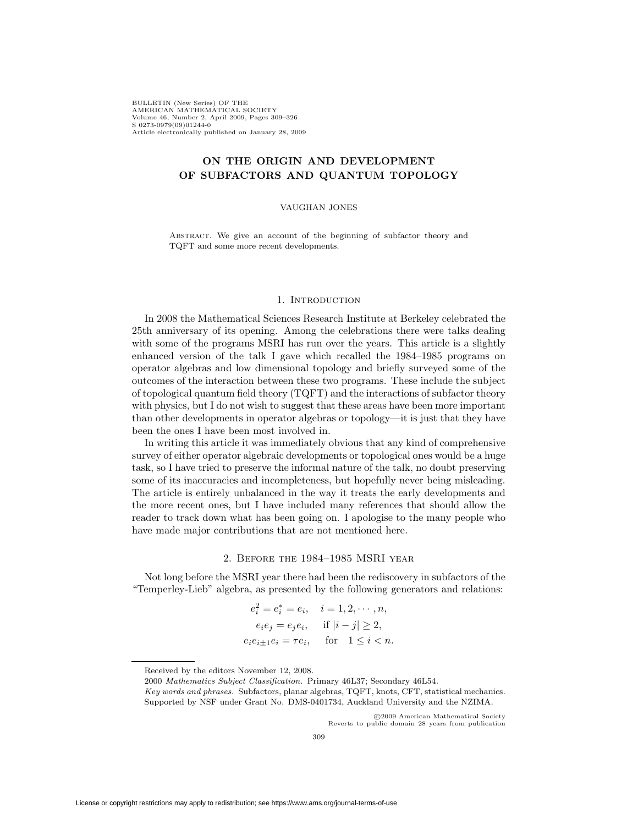BULLETIN (New Series) OF THE AMERICAN MATHEMATICAL SOCIETY Volume 46, Number 2, April 2009, Pages 309–326 S 0273-0979(09)01244-0 Article electronically published on January 28, 2009

# **ON THE ORIGIN AND DEVELOPMENT OF SUBFACTORS AND QUANTUM TOPOLOGY**

### VAUGHAN JONES

ABSTRACT. We give an account of the beginning of subfactor theory and TQFT and some more recent developments.

## 1. INTRODUCTION

In 2008 the Mathematical Sciences Research Institute at Berkeley celebrated the 25th anniversary of its opening. Among the celebrations there were talks dealing with some of the programs MSRI has run over the years. This article is a slightly enhanced version of the talk I gave which recalled the 1984–1985 programs on operator algebras and low dimensional topology and briefly surveyed some of the outcomes of the interaction between these two programs. These include the subject of topological quantum field theory (TQFT) and the interactions of subfactor theory with physics, but I do not wish to suggest that these areas have been more important than other developments in operator algebras or topology—it is just that they have been the ones I have been most involved in.

In writing this article it was immediately obvious that any kind of comprehensive survey of either operator algebraic developments or topological ones would be a huge task, so I have tried to preserve the informal nature of the talk, no doubt preserving some of its inaccuracies and incompleteness, but hopefully never being misleading. The article is entirely unbalanced in the way it treats the early developments and the more recent ones, but I have included many references that should allow the reader to track down what has been going on. I apologise to the many people who have made major contributions that are not mentioned here.

## 2. Before the 1984–1985 MSRI year

Not long before the MSRI year there had been the rediscovery in subfactors of the "Temperley-Lieb" algebra, as presented by the following generators and relations:

$$
e_i^2 = e_i^* = e_i, \quad i = 1, 2, \dots, n,
$$
  
\n $e_i e_j = e_j e_i, \quad \text{if } |i - j| \ge 2,$   
\n $e_i e_{i \pm 1} e_i = \tau e_i, \quad \text{for } 1 \le i < n.$ 

2000 Mathematics Subject Classification. Primary 46L37; Secondary 46L54.

c 2009 American Mathematical Society Reverts to public domain 28 years from publication

Received by the editors November 12, 2008.

Key words and phrases. Subfactors, planar algebras, TQFT, knots, CFT, statistical mechanics. Supported by NSF under Grant No. DMS-0401734, Auckland University and the NZIMA.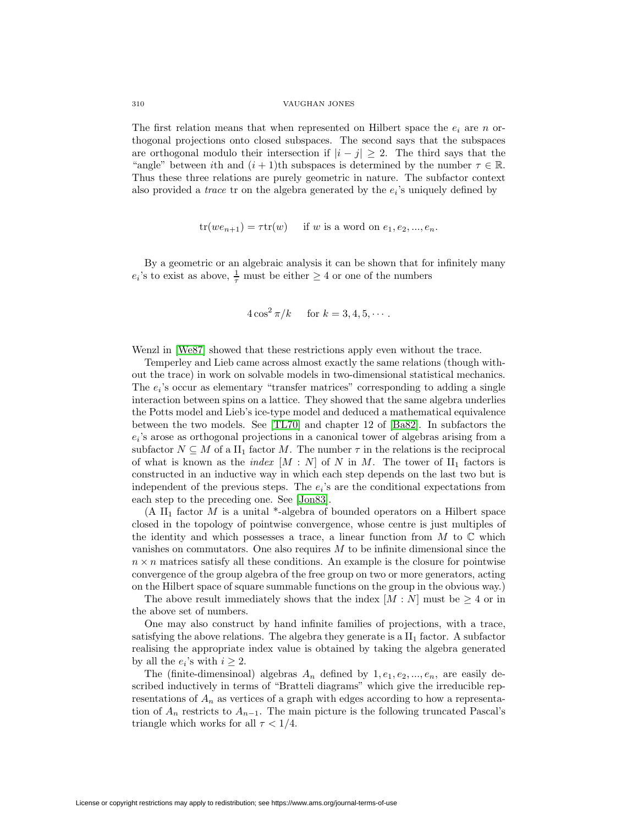The first relation means that when represented on Hilbert space the  $e_i$  are n orthogonal projections onto closed subspaces. The second says that the subspaces are orthogonal modulo their intersection if  $|i - j| \geq 2$ . The third says that the "angle" between ith and  $(i + 1)$ th subspaces is determined by the number  $\tau \in \mathbb{R}$ . Thus these three relations are purely geometric in nature. The subfactor context also provided a *trace* tr on the algebra generated by the  $e_i$ 's uniquely defined by

$$
tr(we_{n+1}) = \tau tr(w) \quad \text{if } w \text{ is a word on } e_1, e_2, \dots, e_n.
$$

By a geometric or an algebraic analysis it can be shown that for infinitely many  $e_i$ 's to exist as above,  $\frac{1}{\tau}$  must be either  $\geq 4$  or one of the numbers

$$
4\cos^2\pi/k \quad \text{for } k = 3, 4, 5, \cdots.
$$

Wenzl in [\[We87\]](#page-17-0) showed that these restrictions apply even without the trace.

Temperley and Lieb came across almost exactly the same relations (though without the trace) in work on solvable models in two-dimensional statistical mechanics. The  $e_i$ 's occur as elementary "transfer matrices" corresponding to adding a single interaction between spins on a lattice. They showed that the same algebra underlies the Potts model and Lieb's ice-type model and deduced a mathematical equivalence between the two models. See [\[TL70\]](#page-16-0) and chapter 12 of [\[Ba82\]](#page-14-0). In subfactors the  $e_i$ 's arose as orthogonal projections in a canonical tower of algebras arising from a subfactor  $N \subseteq M$  of a  $\text{II}_1$  factor M. The number  $\tau$  in the relations is the reciprocal of what is known as the *index*  $[M : N]$  of N in M. The tower of  $II_1$  factors is constructed in an inductive way in which each step depends on the last two but is independent of the previous steps. The  $e_i$ 's are the conditional expectations from each step to the preceding one. See [\[Jon83\]](#page-15-0).

(A II<sub>1</sub> factor M is a unital \*-algebra of bounded operators on a Hilbert space closed in the topology of pointwise convergence, whose centre is just multiples of the identity and which possesses a trace, a linear function from  $M$  to  $\mathbb C$  which vanishes on commutators. One also requires  $M$  to be infinite dimensional since the  $n \times n$  matrices satisfy all these conditions. An example is the closure for pointwise convergence of the group algebra of the free group on two or more generators, acting on the Hilbert space of square summable functions on the group in the obvious way.)

The above result immediately shows that the index  $[M : N]$  must be  $\geq 4$  or in the above set of numbers.

One may also construct by hand infinite families of projections, with a trace, satisfying the above relations. The algebra they generate is a  $II<sub>1</sub>$  factor. A subfactor realising the appropriate index value is obtained by taking the algebra generated by all the  $e_i$ 's with  $i \geq 2$ .

The (finite-dimensinoal) algebras  $A_n$  defined by  $1, e_1, e_2, ..., e_n$ , are easily described inductively in terms of "Bratteli diagrams" which give the irreducible representations of  $A_n$  as vertices of a graph with edges according to how a representation of  $A_n$  restricts to  $A_{n-1}$ . The main picture is the following truncated Pascal's triangle which works for all  $\tau < 1/4$ .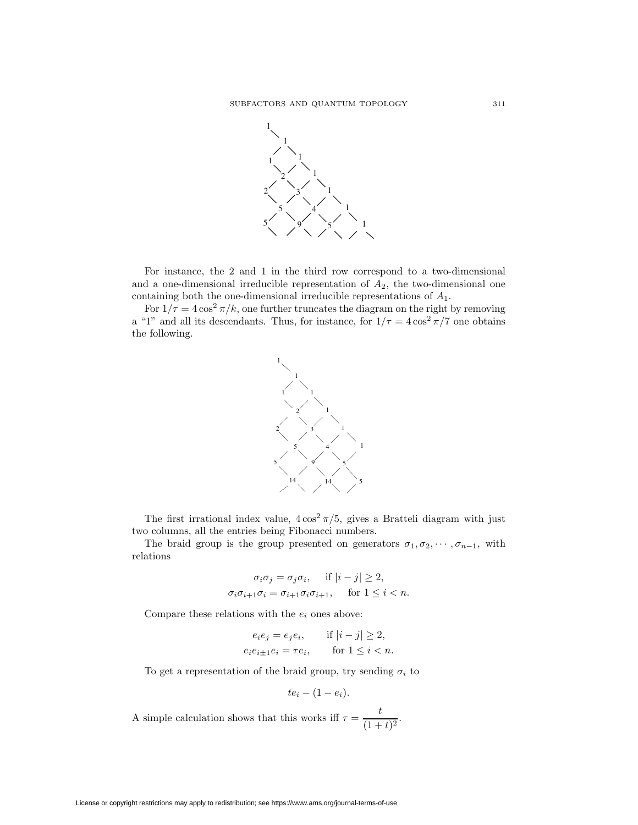

For instance, the 2 and 1 in the third row correspond to a two-dimensional and a one-dimensional irreducible representation of  $A_2$ , the two-dimensional one containing both the one-dimensional irreducible representations of  ${\cal A}_1.$ 

For  $1/\tau = 4\cos^2 \pi/k$ , one further truncates the diagram on the right by removing a "1" and all its descendants. Thus, for instance, for  $1/\tau = 4\cos^2 \pi/7$  one obtains the following.



The first irrational index value,  $4\cos^2 \frac{\pi}{5}$ , gives a Bratteli diagram with just two columns, all the entries being Fibonacci numbers.

The braid group is the group presented on generators  $\sigma_1, \sigma_2, \cdots, \sigma_{n-1}$ , with relations

$$
\sigma_i \sigma_j = \sigma_j \sigma_i, \quad \text{if } |i - j| \ge 2,
$$
  

$$
\sigma_i \sigma_{i+1} \sigma_i = \sigma_{i+1} \sigma_i \sigma_{i+1}, \quad \text{for } 1 \le i < n.
$$

Compare these relations with the  $e_i$  ones above:

$$
e_i e_j = e_j e_i, \quad \text{if } |i - j| \ge 2,
$$
  

$$
e_i e_{i \pm 1} e_i = \tau e_i, \quad \text{for } 1 \le i < n.
$$

To get a representation of the braid group, try sending  $\sigma_i$  to

$$
te_i-(1-e_i).
$$

A simple calculation shows that this works iff  $\tau = \frac{t}{(1+t)^2}$ .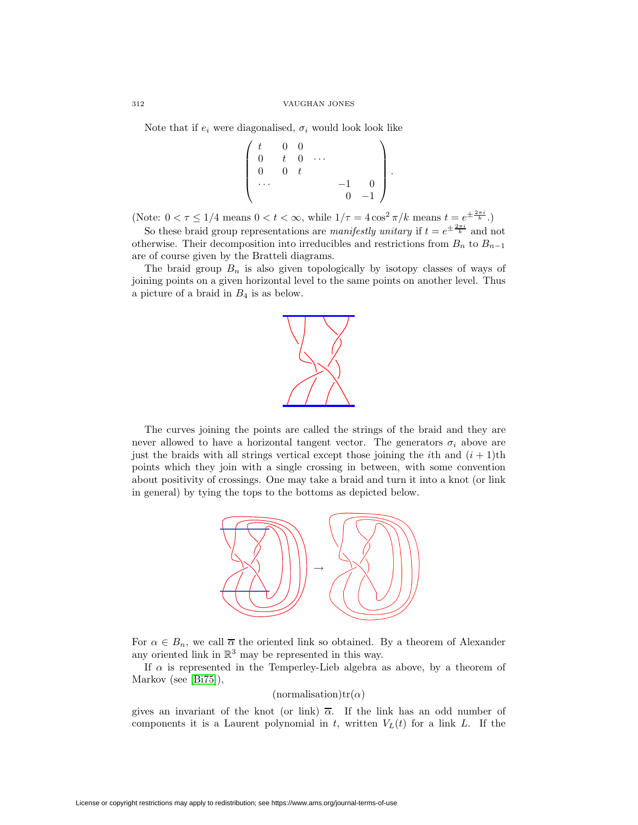Note that if  $e_i$  were diagonalised,  $\sigma_i$  would look look like

$$
\left(\begin{array}{cccc} t & 0 & 0 & & \\ 0 & t & 0 & \cdots & \\ 0 & 0 & t & & \\ \cdots & & & & -1 & 0 \\ 0 & 0 & 0 & -1 \end{array}\right).
$$

(Note:  $0 < \tau \leq 1/4$  means  $0 < t < \infty$ , while  $1/\tau = 4 \cos^2 \pi / k$  means  $t = e^{\pm \frac{2\pi i}{k}}$ .)

So these braid group representations are *manifestly unitary* if  $t = e^{\pm \frac{2\pi i}{k}}$  and not otherwise. Their decomposition into irreducibles and restrictions from  $B_n$  to  $B_{n-1}$ are of course given by the Bratteli diagrams.

The braid group  $B_n$  is also given topologically by isotopy classes of ways of joining points on a given horizontal level to the same points on another level. Thus a picture of a braid in  $B_4$  is as below.



The curves joining the points are called the strings of the braid and they are never allowed to have a horizontal tangent vector. The generators  $\sigma_i$  above are just the braids with all strings vertical except those joining the *i*th and  $(i + 1)$ <sup>th</sup> points which they join with a single crossing in between, with some convention about positivity of crossings. One may take a braid and turn it into a knot (or link in general) by tying the tops to the bottoms as depicted below.



For  $\alpha \in B_n$ , we call  $\overline{\alpha}$  the oriented link so obtained. By a theorem of Alexander any oriented link in  $\mathbb{R}^3$  may be represented in this way.

If  $\alpha$  is represented in the Temperley-Lieb algebra as above, by a theorem of Markov (see [\[Bi75\]](#page-14-1)),

(normalisation)tr( $\alpha$ )

gives an invariant of the knot (or link)  $\overline{\alpha}$ . If the link has an odd number of components it is a Laurent polynomial in t, written  $V_L(t)$  for a link L. If the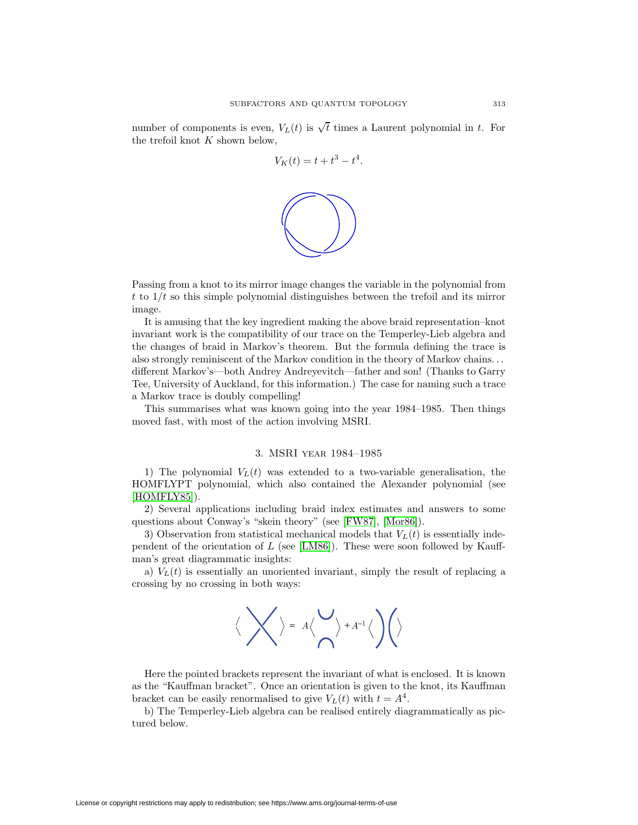number of components is even,  $V_L(t)$  is  $\sqrt{t}$  times a Laurent polynomial in t. For the trefoil knot  $K$  shown below,

$$
V_K(t) = t + t^3 - t^4.
$$



Passing from a knot to its mirror image changes the variable in the polynomial from t to  $1/t$  so this simple polynomial distinguishes between the trefoil and its mirror image.

It is amusing that the key ingredient making the above braid representation–knot invariant work is the compatibility of our trace on the Temperley-Lieb algebra and the changes of braid in Markov's theorem. But the formula defining the trace is also strongly reminiscent of the Markov condition in the theory of Markov chains... different Markov's—both Andrey Andreyevitch—father and son! (Thanks to Garry Tee, University of Auckland, for this information.) The case for naming such a trace a Markov trace is doubly compelling!

This summarises what was known going into the year 1984–1985. Then things moved fast, with most of the action involving MSRI.

# 3. MSRI year 1984–1985

1) The polynomial  $V<sub>L</sub>(t)$  was extended to a two-variable generalisation, the HOMFLYPT polynomial, which also contained the Alexander polynomial (see [\[HOMFLY85\]](#page-15-1)).

2) Several applications including braid index estimates and answers to some questions about Conway's "skein theory" (see [\[FW87\]](#page-15-2), [\[Mor86\]](#page-16-1)).

3) Observation from statistical mechanical models that  $V_L(t)$  is essentially inde-pendent of the orientation of L (see [\[LM86\]](#page-16-2)). These were soon followed by Kauffman's great diagrammatic insights:

a)  $V<sub>L</sub>(t)$  is essentially an unoriented invariant, simply the result of replacing a crossing by no crossing in both ways:



Here the pointed brackets represent the invariant of what is enclosed. It is known as the "Kauffman bracket". Once an orientation is given to the knot, its Kauffman bracket can be easily renormalised to give  $V_L(t)$  with  $t = A^4$ .

b) The Temperley-Lieb algebra can be realised entirely diagrammatically as pictured below.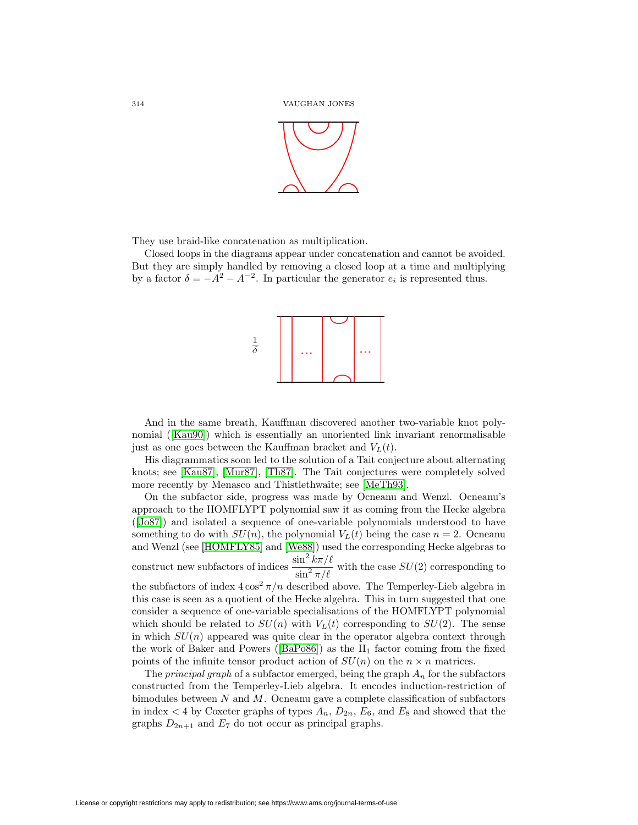

They use braid-like concatenation as multiplication.

Closed loops in the diagrams appear under concatenation and cannot be avoided. But they are simply handled by removing a closed loop at a time and multiplying by a factor  $\delta = -A^2 - A^{-2}$ . In particular the generator  $e_i$  is represented thus.



And in the same breath, Kauffman discovered another two-variable knot polynomial ([\[Kau90\]](#page-15-3)) which is essentially an unoriented link invariant renormalisable just as one goes between the Kauffman bracket and  $V_L(t)$ .

His diagrammatics soon led to the solution of a Tait conjecture about alternating knots; see [\[Kau87\]](#page-15-4), [\[Mur87\]](#page-16-3), [\[Th87\]](#page-16-4). The Tait conjectures were completely solved more recently by Menasco and Thistlethwaite; see [\[MeTh93\]](#page-16-5).

On the subfactor side, progress was made by Ocneanu and Wenzl. Ocneanu's approach to the HOMFLYPT polynomial saw it as coming from the Hecke algebra ([\[Jo87\]](#page-15-5)) and isolated a sequence of one-variable polynomials understood to have something to do with  $SU(n)$ , the polynomial  $V_L(t)$  being the case  $n = 2$ . Ocneanu and Wenzl (see [\[HOMFLY85\]](#page-15-1) and [\[We88\]](#page-17-1)) used the corresponding Hecke algebras to construct new subfactors of indices  $\frac{\sin^2 k\pi/\ell}{\sin^2 \pi/\ell}$  with the case  $SU(2)$  corresponding to the subfactors of index  $4\cos^2 \frac{\pi}{n}$  described above. The Temperley-Lieb algebra in this case is seen as a quotient of the Hecke algebra. This in turn suggested that one consider a sequence of one-variable specialisations of the HOMFLYPT polynomial which should be related to  $SU(n)$  with  $V<sub>L</sub>(t)$  corresponding to  $SU(2)$ . The sense in which  $SU(n)$  appeared was quite clear in the operator algebra context through the work of Baker and Powers ( $[BaPo86]$ ) as the  $II_1$  factor coming from the fixed points of the infinite tensor product action of  $SU(n)$  on the  $n \times n$  matrices.

The *principal graph* of a subfactor emerged, being the graph  $A_n$  for the subfactors constructed from the Temperley-Lieb algebra. It encodes induction-restriction of bimodules between  $N$  and  $M$ . Ocneanu gave a complete classification of subfactors in index  $\lt 4$  by Coxeter graphs of types  $A_n$ ,  $D_{2n}$ ,  $E_6$ , and  $E_8$  and showed that the graphs  $D_{2n+1}$  and  $E_7$  do not occur as principal graphs.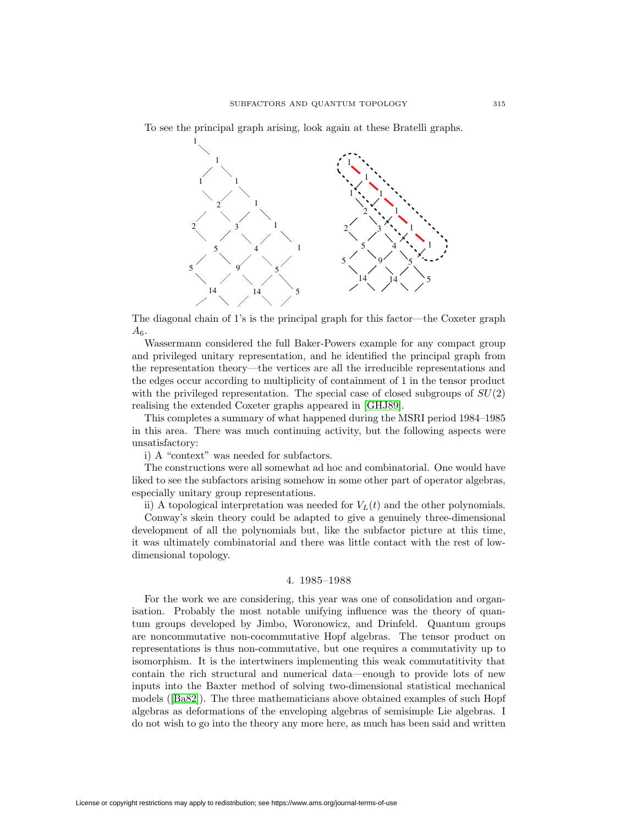To see the principal graph arising, look again at these Bratelli graphs.



The diagonal chain of 1's is the principal graph for this factor—the Coxeter graph  $A_6.$ 

Wassermann considered the full Baker-Powers example for any compact group and privileged unitary representation, and he identified the principal graph from the representation theory—the vertices are all the irreducible representations and the edges occur according to multiplicity of containment of 1 in the tensor product with the privileged representation. The special case of closed subgroups of  $SU(2)$ realising the extended Coxeter graphs appeared in [\[GHJ89\]](#page-15-6).

This completes a summary of what happened during the MSRI period 1984–1985 in this area. There was much continuing activity, but the following aspects were unsatisfactory:

i) A "context" was needed for subfactors.

The constructions were all somewhat ad hoc and combinatorial. One would have liked to see the subfactors arising somehow in some other part of operator algebras, especially unitary group representations.

ii) A topological interpretation was needed for  $V_L(t)$  and the other polynomials.

Conway's skein theory could be adapted to give a genuinely three-dimensional development of all the polynomials but, like the subfactor picture at this time, it was ultimately combinatorial and there was little contact with the rest of lowdimensional topology.

### 4. 1985–1988

For the work we are considering, this year was one of consolidation and organisation. Probably the most notable unifying influence was the theory of quantum groups developed by Jimbo, Woronowicz, and Drinfeld. Quantum groups are noncommutative non-cocommutative Hopf algebras. The tensor product on representations is thus non-commutative, but one requires a commutativity up to isomorphism. It is the intertwiners implementing this weak commutatitivity that contain the rich structural and numerical data—enough to provide lots of new inputs into the Baxter method of solving two-dimensional statistical mechanical models ([\[Ba82\]](#page-14-0)). The three mathematicians above obtained examples of such Hopf algebras as deformations of the enveloping algebras of semisimple Lie algebras. I do not wish to go into the theory any more here, as much has been said and written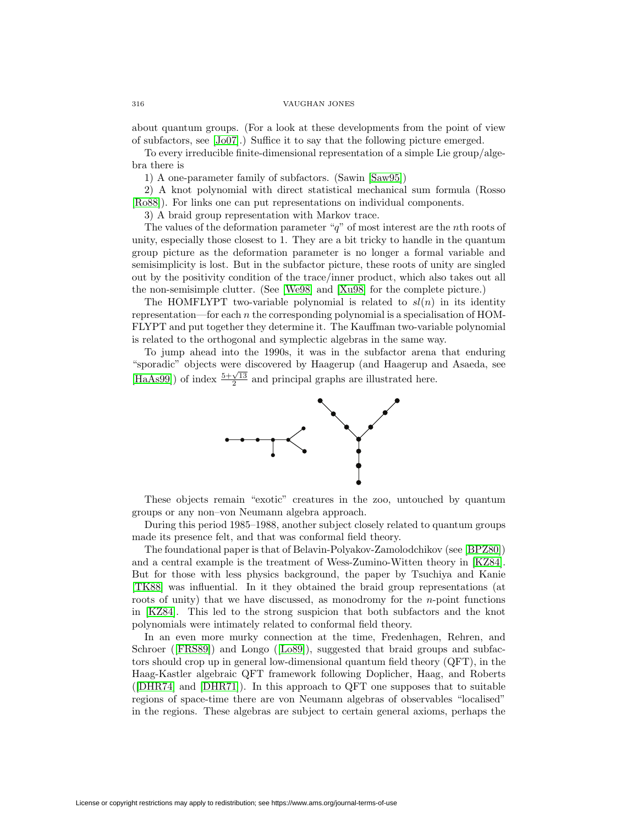about quantum groups. (For a look at these developments from the point of view of subfactors, see [\[Jo07\]](#page-15-7).) Suffice it to say that the following picture emerged.

To every irreducible finite-dimensional representation of a simple Lie group/algebra there is

1) A one-parameter family of subfactors. (Sawin [\[Saw95\]](#page-16-6))

2) A knot polynomial with direct statistical mechanical sum formula (Rosso [\[Ro88\]](#page-16-7)). For links one can put representations on individual components.

3) A braid group representation with Markov trace.

The values of the deformation parameter " $q$ " of most interest are the *n*th roots of unity, especially those closest to 1. They are a bit tricky to handle in the quantum group picture as the deformation parameter is no longer a formal variable and semisimplicity is lost. But in the subfactor picture, these roots of unity are singled out by the positivity condition of the trace/inner product, which also takes out all the non-semisimple clutter. (See [\[We98\]](#page-17-2) and [\[Xu98\]](#page-17-3) for the complete picture.)

The HOMFLYPT two-variable polynomial is related to  $sl(n)$  in its identity representation—for each  $n$  the corresponding polynomial is a specialisation of HOM-FLYPT and put together they determine it. The Kauffman two-variable polynomial is related to the orthogonal and symplectic algebras in the same way.

To jump ahead into the 1990s, it was in the subfactor arena that enduring "sporadic" objects were discovered by Haagerup (and Haagerup and Asaeda, see [\[HaAs99\]](#page-14-3)) of index  $\frac{5+\sqrt{13}}{2}$  and principal graphs are illustrated here.



These objects remain "exotic" creatures in the zoo, untouched by quantum groups or any non–von Neumann algebra approach.

During this period 1985–1988, another subject closely related to quantum groups made its presence felt, and that was conformal field theory.

The foundational paper is that of Belavin-Polyakov-Zamolodchikov (see [\[BPZ80\]](#page-14-4)) and a central example is the treatment of Wess-Zumino-Witten theory in [\[KZ84\]](#page-15-8). But for those with less physics background, the paper by Tsuchiya and Kanie [\[TK88\]](#page-16-8) was influential. In it they obtained the braid group representations (at roots of unity) that we have discussed, as monodromy for the  $n$ -point functions in [\[KZ84\]](#page-15-8). This led to the strong suspicion that both subfactors and the knot polynomials were intimately related to conformal field theory.

In an even more murky connection at the time, Fredenhagen, Rehren, and Schroer ([\[FRS89\]](#page-15-9)) and Longo ([\[Lo89\]](#page-16-9)), suggested that braid groups and subfactors should crop up in general low-dimensional quantum field theory (QFT), in the Haag-Kastler algebraic QFT framework following Doplicher, Haag, and Roberts ([\[DHR74\]](#page-14-5) and [\[DHR71\]](#page-14-6)). In this approach to QFT one supposes that to suitable regions of space-time there are von Neumann algebras of observables "localised" in the regions. These algebras are subject to certain general axioms, perhaps the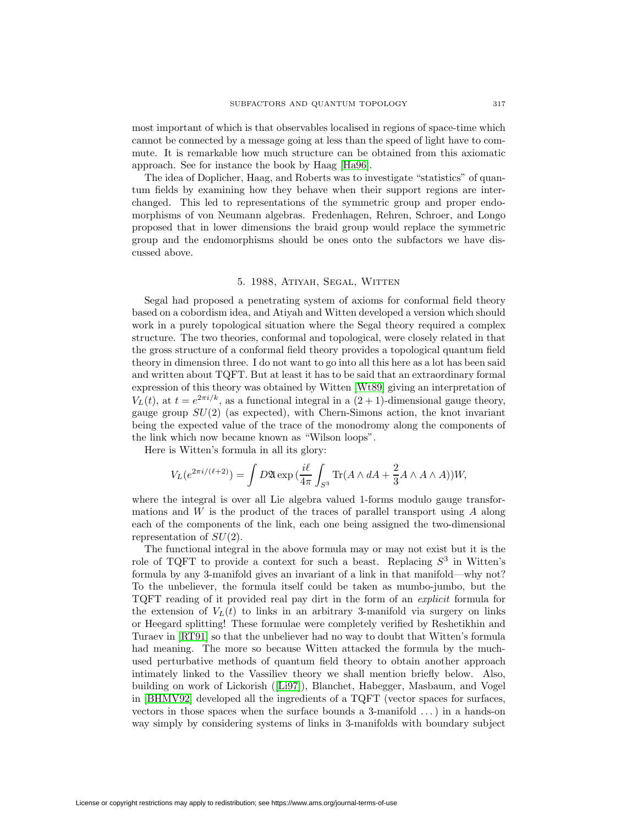most important of which is that observables localised in regions of space-time which cannot be connected by a message going at less than the speed of light have to commute. It is remarkable how much structure can be obtained from this axiomatic approach. See for instance the book by Haag [\[Ha96\]](#page-15-10).

The idea of Doplicher, Haag, and Roberts was to investigate "statistics" of quantum fields by examining how they behave when their support regions are interchanged. This led to representations of the symmetric group and proper endomorphisms of von Neumann algebras. Fredenhagen, Rehren, Schroer, and Longo proposed that in lower dimensions the braid group would replace the symmetric group and the endomorphisms should be ones onto the subfactors we have discussed above.

# 5. 1988, Atiyah, Segal, Witten

Segal had proposed a penetrating system of axioms for conformal field theory based on a cobordism idea, and Atiyah and Witten developed a version which should work in a purely topological situation where the Segal theory required a complex structure. The two theories, conformal and topological, were closely related in that the gross structure of a conformal field theory provides a topological quantum field theory in dimension three. I do not want to go into all this here as a lot has been said and written about TQFT. But at least it has to be said that an extraordinary formal expression of this theory was obtained by Witten [\[Wt89\]](#page-17-4) giving an interpretation of  $V_L(t)$ , at  $t = e^{2\pi i/k}$ , as a functional integral in a  $(2 + 1)$ -dimensional gauge theory, gauge group  $SU(2)$  (as expected), with Chern-Simons action, the knot invariant being the expected value of the trace of the monodromy along the components of the link which now became known as "Wilson loops".

Here is Witten's formula in all its glory:

$$
V_L(e^{2\pi i/(\ell+2)}) = \int D\mathfrak{A} \exp\left(\frac{i\ell}{4\pi} \int_{S^3} \text{Tr}(A \wedge dA + \frac{2}{3}A \wedge A \wedge A)\right)W,
$$

where the integral is over all Lie algebra valued 1-forms modulo gauge transformations and W is the product of the traces of parallel transport using A along each of the components of the link, each one being assigned the two-dimensional representation of  $SU(2)$ .

The functional integral in the above formula may or may not exist but it is the role of TQFT to provide a context for such a beast. Replacing  $S<sup>3</sup>$  in Witten's formula by any 3-manifold gives an invariant of a link in that manifold—why not? To the unbeliever, the formula itself could be taken as mumbo-jumbo, but the TQFT reading of it provided real pay dirt in the form of an explicit formula for the extension of  $V_L(t)$  to links in an arbitrary 3-manifold via surgery on links or Heegard splitting! These formulae were completely verified by Reshetikhin and Turaev in [\[RT91\]](#page-16-10) so that the unbeliever had no way to doubt that Witten's formula had meaning. The more so because Witten attacked the formula by the muchused perturbative methods of quantum field theory to obtain another approach intimately linked to the Vassiliev theory we shall mention briefly below. Also, building on work of Lickorish ([\[Li97\]](#page-16-11)), Blanchet, Habegger, Masbaum, and Vogel in [\[BHMV92\]](#page-14-7) developed all the ingredients of a TQFT (vector spaces for surfaces, vectors in those spaces when the surface bounds a 3-manifold ...) in a hands-on way simply by considering systems of links in 3-manifolds with boundary subject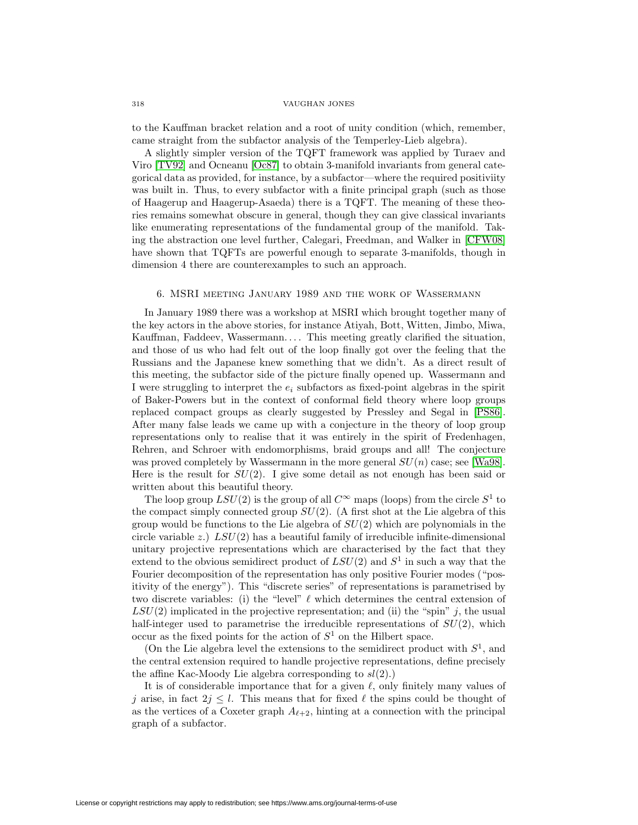to the Kauffman bracket relation and a root of unity condition (which, remember, came straight from the subfactor analysis of the Temperley-Lieb algebra).

A slightly simpler version of the TQFT framework was applied by Turaev and Viro [\[TV92\]](#page-16-12) and Ocneanu [\[Oc87\]](#page-16-13) to obtain 3-manifold invariants from general categorical data as provided, for instance, by a subfactor—where the required positiviity was built in. Thus, to every subfactor with a finite principal graph (such as those of Haagerup and Haagerup-Asaeda) there is a TQFT. The meaning of these theories remains somewhat obscure in general, though they can give classical invariants like enumerating representations of the fundamental group of the manifold. Taking the abstraction one level further, Calegari, Freedman, and Walker in [\[CFW08\]](#page-14-8) have shown that TQFTs are powerful enough to separate 3-manifolds, though in dimension 4 there are counterexamples to such an approach.

# 6. MSRI meeting January 1989 and the work of Wassermann

In January 1989 there was a workshop at MSRI which brought together many of the key actors in the above stories, for instance Atiyah, Bott, Witten, Jimbo, Miwa, Kauffman, Faddeev, Wassermann... . This meeting greatly clarified the situation, and those of us who had felt out of the loop finally got over the feeling that the Russians and the Japanese knew something that we didn't. As a direct result of this meeting, the subfactor side of the picture finally opened up. Wassermann and I were struggling to interpret the  $e_i$  subfactors as fixed-point algebras in the spirit of Baker-Powers but in the context of conformal field theory where loop groups replaced compact groups as clearly suggested by Pressley and Segal in [\[PS86\]](#page-16-14). After many false leads we came up with a conjecture in the theory of loop group representations only to realise that it was entirely in the spirit of Fredenhagen, Rehren, and Schroer with endomorphisms, braid groups and all! The conjecture was proved completely by Wassermann in the more general  $SU(n)$  case; see [\[Wa98\]](#page-16-15). Here is the result for  $SU(2)$ . I give some detail as not enough has been said or written about this beautiful theory.

The loop group  $LSU(2)$  is the group of all  $C^{\infty}$  maps (loops) from the circle  $S^1$  to the compact simply connected group  $SU(2)$ . (A first shot at the Lie algebra of this group would be functions to the Lie algebra of  $SU(2)$  which are polynomials in the circle variable  $z$ .)  $LSU(2)$  has a beautiful family of irreducible infinite-dimensional unitary projective representations which are characterised by the fact that they extend to the obvious semidirect product of  $LSU(2)$  and  $S<sup>1</sup>$  in such a way that the Fourier decomposition of the representation has only positive Fourier modes ("positivity of the energy"). This "discrete series" of representations is parametrised by two discrete variables: (i) the "level"  $\ell$  which determines the central extension of  $LSU(2)$  implicated in the projective representation; and (ii) the "spin" j, the usual half-integer used to parametrise the irreducible representations of  $SU(2)$ , which occur as the fixed points for the action of  $S^1$  on the Hilbert space.

(On the Lie algebra level the extensions to the semidirect product with  $S^1$ , and the central extension required to handle projective representations, define precisely the affine Kac-Moody Lie algebra corresponding to  $sl(2)$ .)

It is of considerable importance that for a given  $\ell$ , only finitely many values of j arise, in fact  $2j \leq l$ . This means that for fixed  $\ell$  the spins could be thought of as the vertices of a Coxeter graph  $A_{\ell+2}$ , hinting at a connection with the principal graph of a subfactor.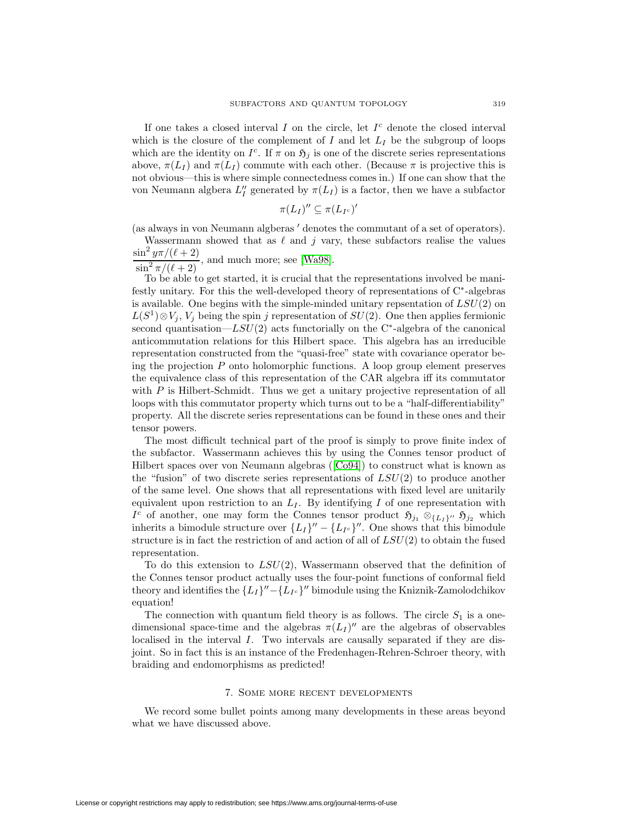If one takes a closed interval I on the circle, let  $I<sup>c</sup>$  denote the closed interval which is the closure of the complement of I and let  $L_I$  be the subgroup of loops which are the identity on  $I^c$ . If  $\pi$  on  $\mathfrak{H}_j$  is one of the discrete series representations above,  $\pi(L_I)$  and  $\pi(L_I)$  commute with each other. (Because  $\pi$  is projective this is not obvious—this is where simple connectedness comes in.) If one can show that the von Neumann algbera  $L_I''$  generated by  $\pi(L_I)$  is a factor, then we have a subfactor

$$
\pi(L_I)''\subseteq \pi(L_{I^c})'
$$

(as always in von Neumann algberas  $\prime$  denotes the commutant of a set of operators).

Wassermann showed that as  $\ell$  and j vary, these subfactors realise the values  $\sin^2 y\pi/(\ell+2)$ 

 $\frac{\sin^2 \frac{\pi}{\pi}}{\sin^2 \frac{\pi}{\ell+2}}$ , and much more; see [\[Wa98\]](#page-16-15).

To be able to get started, it is crucial that the representations involved be manifestly unitary. For this the well-developed theory of representations of C∗-algebras is available. One begins with the simple-minded unitary repsentation of  $LSU(2)$  on  $L(S^1) \otimes V_j$ ,  $V_j$  being the spin j representation of  $SU(2)$ . One then applies fermionic second quantisation—LSU(2) acts functorially on the C<sup>∗</sup>-algebra of the canonical anticommutation relations for this Hilbert space. This algebra has an irreducible representation constructed from the "quasi-free" state with covariance operator being the projection  $P$  onto holomorphic functions. A loop group element preserves the equivalence class of this representation of the CAR algebra iff its commutator with  $P$  is Hilbert-Schmidt. Thus we get a unitary projective representation of all loops with this commutator property which turns out to be a "half-differentiability" property. All the discrete series representations can be found in these ones and their tensor powers.

The most difficult technical part of the proof is simply to prove finite index of the subfactor. Wassermann achieves this by using the Connes tensor product of Hilbert spaces over von Neumann algebras ([\[Co94\]](#page-14-9)) to construct what is known as the "fusion" of two discrete series representations of  $LSU(2)$  to produce another of the same level. One shows that all representations with fixed level are unitarily equivalent upon restriction to an  $L_I$ . By identifying I of one representation with *I*<sup>c</sup> of another, one may form the Connes tensor product  $\mathfrak{H}_{j_1} \otimes_{\{L_1\}^{\prime\prime}} \mathfrak{H}_{j_2}$  which inherits a bimodule structure over  ${L_I}'' - {L_{Ic}}''$ . One shows that this bimodule structure is in fact the restriction of and action of all of  $LSU(2)$  to obtain the fused representation.

To do this extension to  $LSU(2)$ , Wassermann observed that the definition of the Connes tensor product actually uses the four-point functions of conformal field theory and identifies the  ${L_I}$ <sup>u</sup> – ${L_{Ic}}$ <sup>u</sup> bimodule using the Kniznik-Zamolodchikov equation!

The connection with quantum field theory is as follows. The circle  $S_1$  is a onedimensional space-time and the algebras  $\pi(L_I)''$  are the algebras of observables localised in the interval I. Two intervals are causally separated if they are disjoint. So in fact this is an instance of the Fredenhagen-Rehren-Schroer theory, with braiding and endomorphisms as predicted!

# 7. Some more recent developments

We record some bullet points among many developments in these areas beyond what we have discussed above.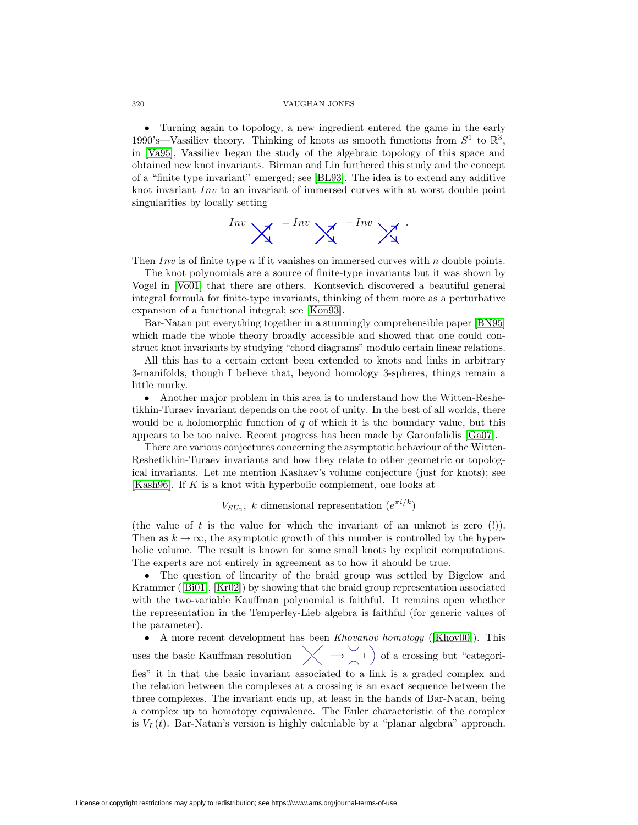• Turning again to topology, a new ingredient entered the game in the early 1990's—Vassiliev theory. Thinking of knots as smooth functions from  $S^1$  to  $\mathbb{R}^3$ , in [\[Va95\]](#page-16-16), Vassiliev began the study of the algebraic topology of this space and obtained new knot invariants. Birman and Lin furthered this study and the concept of a "finite type invariant" emerged; see [\[BL93\]](#page-14-10). The idea is to extend any additive knot invariant Inv to an invariant of immersed curves with at worst double point singularities by locally setting



Then  $Inv$  is of finite type n if it vanishes on immersed curves with n double points.

The knot polynomials are a source of finite-type invariants but it was shown by Vogel in [\[Vo01\]](#page-16-17) that there are others. Kontsevich discovered a beautiful general integral formula for finite-type invariants, thinking of them more as a perturbative expansion of a functional integral; see [\[Kon93\]](#page-15-11).

Bar-Natan put everything together in a stunningly comprehensible paper [\[BN95\]](#page-14-11) which made the whole theory broadly accessible and showed that one could construct knot invariants by studying "chord diagrams" modulo certain linear relations.

All this has to a certain extent been extended to knots and links in arbitrary 3-manifolds, though I believe that, beyond homology 3-spheres, things remain a little murky.

• Another major problem in this area is to understand how the Witten-Reshetikhin-Turaev invariant depends on the root of unity. In the best of all worlds, there would be a holomorphic function of  $q$  of which it is the boundary value, but this appears to be too naive. Recent progress has been made by Garoufalidis [\[Ga07\]](#page-15-12).

There are various conjectures concerning the asymptotic behaviour of the Witten-Reshetikhin-Turaev invariants and how they relate to other geometric or topological invariants. Let me mention Kashaev's volume conjecture (just for knots); see [\[Kash96\]](#page-15-13). If K is a knot with hyperbolic complement, one looks at

# $V_{SU_2}$ , k dimensional representation  $(e^{\pi i/k})$

(the value of t is the value for which the invariant of an unknot is zero (!)). Then as  $k \to \infty$ , the asymptotic growth of this number is controlled by the hyperbolic volume. The result is known for some small knots by explicit computations. The experts are not entirely in agreement as to how it should be true.

• The question of linearity of the braid group was settled by Bigelow and Krammer ([\[Bi01\]](#page-14-12), [\[Kr02\]](#page-15-14)) by showing that the braid group representation associated with the two-variable Kauffman polynomial is faithful. It remains open whether the representation in the Temperley-Lieb algebra is faithful (for generic values of the parameter).

• A more recent development has been *Khovanov homology* ([\[Khov00\]](#page-15-15)). This uses the basic Kauffman resolution  $\chi \rightarrow \chi$  +  $\to$  of a crossing but "categorifies" it in that the basic invariant associated to a link is a graded complex and the relation between the complexes at a crossing is an exact sequence between the three complexes. The invariant ends up, at least in the hands of Bar-Natan, being a complex up to homotopy equivalence. The Euler characteristic of the complex is  $V_L(t)$ . Bar-Natan's version is highly calculable by a "planar algebra" approach.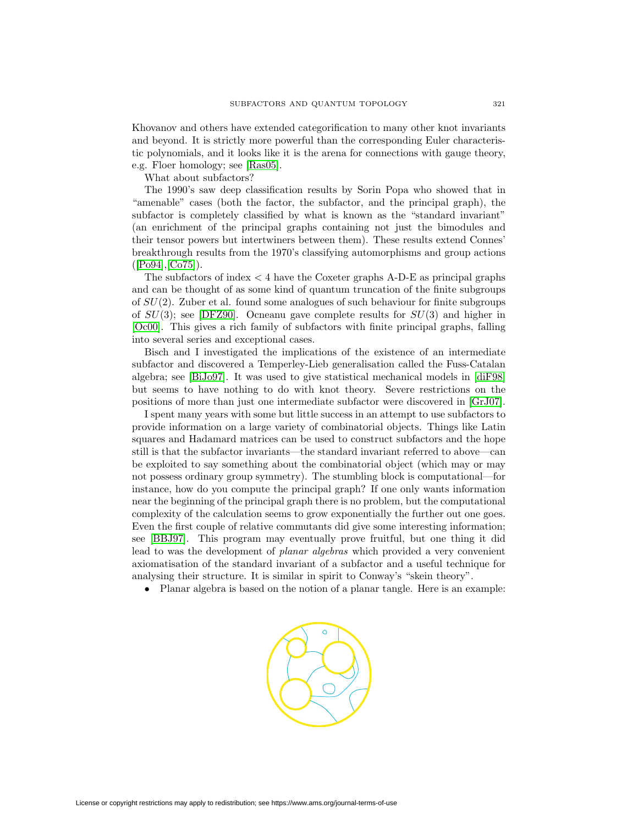Khovanov and others have extended categorification to many other knot invariants and beyond. It is strictly more powerful than the corresponding Euler characteristic polynomials, and it looks like it is the arena for connections with gauge theory, e.g. Floer homology; see [\[Ras05\]](#page-16-18).

What about subfactors?

The 1990's saw deep classification results by Sorin Popa who showed that in "amenable" cases (both the factor, the subfactor, and the principal graph), the subfactor is completely classified by what is known as the "standard invariant" (an enrichment of the principal graphs containing not just the bimodules and their tensor powers but intertwiners between them). These results extend Connes' breakthrough results from the 1970's classifying automorphisms and group actions  $([Po94], [Co75]).$  $([Po94], [Co75]).$  $([Po94], [Co75]).$  $([Po94], [Co75]).$  $([Po94], [Co75]).$ 

The subfactors of index  $\lt 4$  have the Coxeter graphs A-D-E as principal graphs and can be thought of as some kind of quantum truncation of the finite subgroups of SU(2). Zuber et al. found some analogues of such behaviour for finite subgroups of  $SU(3)$ ; see [\[DFZ90\]](#page-15-16). Ocneanu gave complete results for  $SU(3)$  and higher in [\[Oc00\]](#page-16-20). This gives a rich family of subfactors with finite principal graphs, falling into several series and exceptional cases.

Bisch and I investigated the implications of the existence of an intermediate subfactor and discovered a Temperley-Lieb generalisation called the Fuss-Catalan algebra; see [\[BiJo97\]](#page-14-14). It was used to give statistical mechanical models in [\[diF98\]](#page-15-17) but seems to have nothing to do with knot theory. Severe restrictions on the positions of more than just one intermediate subfactor were discovered in [\[GrJ07\]](#page-15-18).

I spent many years with some but little success in an attempt to use subfactors to provide information on a large variety of combinatorial objects. Things like Latin squares and Hadamard matrices can be used to construct subfactors and the hope still is that the subfactor invariants—the standard invariant referred to above—can be exploited to say something about the combinatorial object (which may or may not possess ordinary group symmetry). The stumbling block is computational—for instance, how do you compute the principal graph? If one only wants information near the beginning of the principal graph there is no problem, but the computational complexity of the calculation seems to grow exponentially the further out one goes. Even the first couple of relative commutants did give some interesting information; see [\[BBJ97\]](#page-14-15). This program may eventually prove fruitful, but one thing it did lead to was the development of planar algebras which provided a very convenient axiomatisation of the standard invariant of a subfactor and a useful technique for analysing their structure. It is similar in spirit to Conway's "skein theory".

• Planar algebra is based on the notion of a planar tangle. Here is an example:

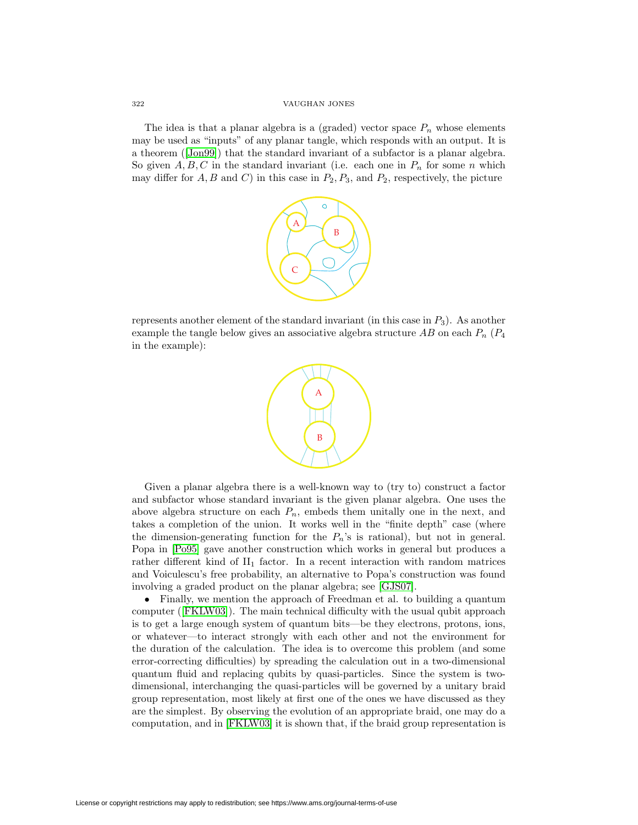The idea is that a planar algebra is a (graded) vector space  $P_n$  whose elements may be used as "inputs" of any planar tangle, which responds with an output. It is a theorem ([\[Jon99\]](#page-15-19)) that the standard invariant of a subfactor is a planar algebra. So given  $A, B, C$  in the standard invariant (i.e. each one in  $P_n$  for some n which may differ for  $A, B$  and  $C$ ) in this case in  $P_2, P_3$ , and  $P_2$ , respectively, the picture



represents another element of the standard invariant (in this case in  $P_3$ ). As another example the tangle below gives an associative algebra structure  $AB$  on each  $P_n$  ( $P_4$ ) in the example):



Given a planar algebra there is a well-known way to (try to) construct a factor and subfactor whose standard invariant is the given planar algebra. One uses the above algebra structure on each  $P_n$ , embeds them unitally one in the next, and takes a completion of the union. It works well in the "finite depth" case (where the dimension-generating function for the  $P_n$ 's is rational), but not in general. Popa in [\[Po95\]](#page-16-21) gave another construction which works in general but produces a rather different kind of  $II_1$  factor. In a recent interaction with random matrices and Voiculescu's free probability, an alternative to Popa's construction was found involving a graded product on the planar algebra; see [\[GJS07\]](#page-15-20).

• Finally, we mention the approach of Freedman et al. to building a quantum computer ([\[FKLW03\]](#page-15-21)). The main technical difficulty with the usual qubit approach is to get a large enough system of quantum bits—be they electrons, protons, ions, or whatever—to interact strongly with each other and not the environment for the duration of the calculation. The idea is to overcome this problem (and some error-correcting difficulties) by spreading the calculation out in a two-dimensional quantum fluid and replacing qubits by quasi-particles. Since the system is twodimensional, interchanging the quasi-particles will be governed by a unitary braid group representation, most likely at first one of the ones we have discussed as they are the simplest. By observing the evolution of an appropriate braid, one may do a computation, and in [\[FKLW03\]](#page-15-21) it is shown that, if the braid group representation is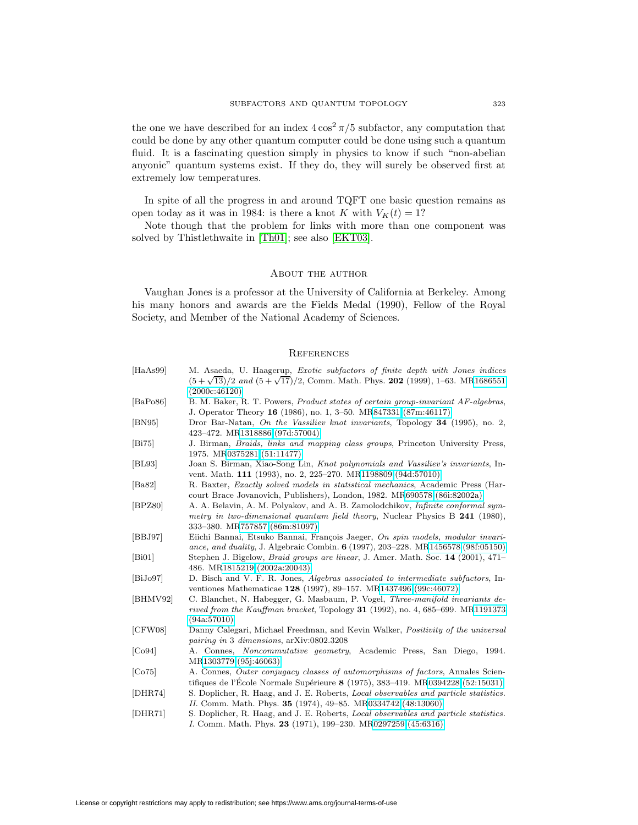the one we have described for an index  $4\cos^2 \frac{\pi}{5}$  subfactor, any computation that could be done by any other quantum computer could be done using such a quantum fluid. It is a fascinating question simply in physics to know if such "non-abelian anyonic" quantum systems exist. If they do, they will surely be observed first at extremely low temperatures.

In spite of all the progress in and around TQFT one basic question remains as open today as it was in 1984: is there a knot K with  $V_K(t) = 1$ ?

Note though that the problem for links with more than one component was solved by Thistlethwaite in [\[Th01\]](#page-16-22); see also [\[EKT03\]](#page-15-22).

## About the author

Vaughan Jones is a professor at the University of California at Berkeley. Among his many honors and awards are the Fields Medal (1990), Fellow of the Royal Society, and Member of the National Academy of Sciences.

# **REFERENCES**

<span id="page-14-15"></span><span id="page-14-14"></span><span id="page-14-13"></span><span id="page-14-12"></span><span id="page-14-11"></span><span id="page-14-10"></span><span id="page-14-9"></span><span id="page-14-8"></span><span id="page-14-7"></span><span id="page-14-6"></span><span id="page-14-5"></span><span id="page-14-4"></span><span id="page-14-3"></span><span id="page-14-2"></span><span id="page-14-1"></span><span id="page-14-0"></span>

| [HaAs99] | M. Asaeda, U. Haagerup, Exotic subfactors of finite depth with Jones indices<br>$(5+\sqrt{13})/2$ and $(5+\sqrt{17})/2$ , Comm. Math. Phys. 202 (1999), 1–63. MR1686551<br>(2000c:46120)                 |
|----------|----------------------------------------------------------------------------------------------------------------------------------------------------------------------------------------------------------|
| [BaPo86] | B. M. Baker, R. T. Powers, <i>Product states of certain group-invariant AF-algebras</i> ,<br>J. Operator Theory 16 (1986), no. 1, 3–50. MR847331 (87m:46117)                                             |
| [BN95]   | Dror Bar-Natan, On the Vassiliev knot invariants, Topology 34 (1995), no. 2,<br>423-472. MR1318886 (97d:57004)                                                                                           |
| [Bi75]   | J. Birman, <i>Braids</i> , <i>links and mapping class groups</i> , Princeton University Press,<br>1975. MR0375281 (51:11477)                                                                             |
| BL93     | Joan S. Birman, Xiao-Song Lin, Knot polynomials and Vassiliev's invariants, In-<br>vent. Math. 111 (1993), no. 2, 225–270. MR1198809 (94d:57010)                                                         |
| [Ba82]   | R. Baxter, <i>Exactly solved models in statistical mechanics</i> , Academic Press (Har-<br>court Brace Jovanovich, Publishers), London, 1982. MR690578 (86i:82002a)                                      |
| [BPZ80]  | A. A. Belavin, A. M. Polyakov, and A. B. Zamolodchikov, <i>Infinite conformal sym</i> -<br>metry in two-dimensional quantum field theory, Nuclear Physics B 241 (1980),<br>333–380. MR757857 (86m:81097) |
| [BBJ97]  | Eiichi Bannai, Etsuko Bannai, François Jaeger, On spin models, modular invari-<br>ance, and duality, J. Algebraic Combin. 6 (1997), 203-228. MR1456578 (98f:05150)                                       |
| [Bi01]   | Stephen J. Bigelow, <i>Braid groups are linear</i> , J. Amer. Math. Soc. 14 (2001), 471–<br>486. MR1815219 (2002a:20043)                                                                                 |
| [BiJo97] | D. Bisch and V. F. R. Jones, Algebras associated to intermediate subfactors, In-<br>ventiones Mathematicae 128 (1997), 89–157. MR1437496 (99c:46072)                                                     |
| [BHMV92] | C. Blanchet, N. Habegger, G. Masbaum, P. Vogel, <i>Three-manifold invariants de-</i><br>rived from the Kauffman bracket, Topology 31 (1992), no. 4, 685–699. MR1191373<br>(94a:57010)                    |
| [CFW08]  | Danny Calegari, Michael Freedman, and Kevin Walker, <i>Positivity of the universal</i><br>pairing in 3 dimensions, arXiv:0802.3208                                                                       |
| [Co94]   | A. Connes, <i>Noncommutative geometry</i> , Academic Press, San Diego, 1994.<br>MR1303779 (95j:46063)                                                                                                    |
| [Co75]   | A. Connes, <i>Outer conjugacy classes of automorphisms of factors</i> , Annales Scien-<br>tifiques de l'Ecole Normale Supérieure 8 (1975), 383-419. MR0394228 (52:15031)                                 |
| [DHR74]  | S. Doplicher, R. Haag, and J. E. Roberts, Local observables and particle statistics.<br>II. Comm. Math. Phys. 35 (1974), 49-85. MR0334742 (48:13060)                                                     |
| [DHR71]  | S. Doplicher, R. Haag, and J. E. Roberts, <i>Local observables and particle statistics</i> .<br>I. Comm. Math. Phys. 23 (1971), 199-230. MR0297259 (45:6316)                                             |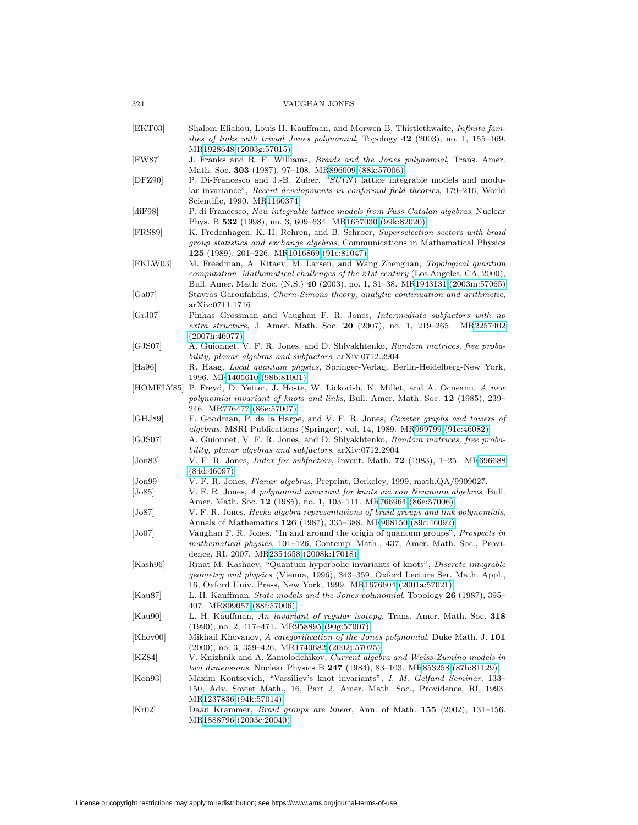- <span id="page-15-22"></span><span id="page-15-21"></span><span id="page-15-20"></span><span id="page-15-18"></span><span id="page-15-17"></span><span id="page-15-16"></span><span id="page-15-12"></span><span id="page-15-10"></span><span id="page-15-9"></span><span id="page-15-2"></span><span id="page-15-1"></span>[EKT03] Shalom Eliahou, Louis H. Kauffman, and Morwen B. Thistlethwaite, Infinite families of links with trivial Jones polynomial, Topology **42** (2003), no. 1, 155–169. M[R1928648 \(2003g:57015\)](http://www.ams.org/mathscinet-getitem?mr=1928648) [FW87] J. Franks and R. F. Williams, Braids and the Jones polynomial, Trans. Amer. Math. Soc. **303** (1987), 97–108. M[R896009 \(88k:57006\)](http://www.ams.org/mathscinet-getitem?mr=896009) [DFZ90] P. Di-Francesco and J.-B. Zuber, "SU(N) lattice integrable models and modular invariance", Recent developments in conformal field theories, 179–216, World Scientific, 1990. M[R1160374](http://www.ams.org/mathscinet-getitem?mr=1160374) [diF98] P. di Francesco, New integrable lattice models from Fuss-Catalan algebras, Nuclear Phys. B **532** (1998), no. 3, 609–634. M[R1657030 \(99k:82020\)](http://www.ams.org/mathscinet-getitem?mr=1657030) [FRS89] K. Fredenhagen, K.-H. Rehren, and B. Schroer, Superselection sectors with braid group statistics and exchange algebras, Communications in Mathematical Physics **125** (1989), 201–226. M[R1016869 \(91c:81047\)](http://www.ams.org/mathscinet-getitem?mr=1016869) [FKLW03] M. Freedman, A. Kitaev, M. Larsen, and Wang Zhenghan, Topological quantum computation. Mathematical challenges of the 21st century (Los Angeles, CA, 2000), Bull. Amer. Math. Soc. (N.S.) **40** (2003), no. 1, 31–38. M[R1943131 \(2003m:57065\)](http://www.ams.org/mathscinet-getitem?mr=1943131) [Ga07] Stavros Garoufalidis, Chern-Simons theory, analytic continuation and arithmetic, arXiv:0711.1716 [GrJ07] Pinhas Grossman and Vaughan F. R. Jones, Intermediate subfactors with no extra structure, J. Amer. Math. Soc. **20** (2007), no. 1, 219–265. M[R2257402](http://www.ams.org/mathscinet-getitem?mr=2257402) [\(2007h:46077\)](http://www.ams.org/mathscinet-getitem?mr=2257402) [GJS07] A. Guionnet, V. F. R. Jones, and D. Shlyakhtenko, Random matrices, free probability, planar algebras and subfactors, arXiv:0712.2904 [Ha96] R. Haag, Local quantum physics, Springer-Verlag, Berlin-Heidelberg-New York, 1996. M[R1405610 \(98b:81001\)](http://www.ams.org/mathscinet-getitem?mr=1405610) [HOMFLY85] P. Freyd, D. Yetter, J. Hoste, W. Lickorish, K. Millet, and A. Ocneanu, A new polynomial invariant of knots and links, Bull. Amer. Math. Soc. **12** (1985), 239– 246. M[R776477 \(86e:57007\)](http://www.ams.org/mathscinet-getitem?mr=776477) [GHJ89] F. Goodman, P. de la Harpe, and V. F. R. Jones, Coxeter graphs and towers of algebras, MSRI Publications (Springer), vol. 14, 1989. M[R999799 \(91c:46082\)](http://www.ams.org/mathscinet-getitem?mr=999799) [GJS07] A. Guionnet, V. F. R. Jones, and D. Shlyakhtenko, Random matrices, free probability, planar algebras and subfactors, arXiv:0712.2904 [Jon83] V. F. R. Jones, Index for subfactors, Invent. Math. **72** (1983), 1–25. M[R696688](http://www.ams.org/mathscinet-getitem?mr=696688) [\(84d:46097\)](http://www.ams.org/mathscinet-getitem?mr=696688) [Jon99] V. F. R. Jones, Planar algebras, Preprint, Berkeley, 1999, math.QA/9909027. [Jo85] V. F. R. Jones, A polynomial invariant for knots via von Neumann algebras, Bull. Amer. Math. Soc. **12** (1985), no. 1, 103–111. M[R766964 \(86e:57006\)](http://www.ams.org/mathscinet-getitem?mr=766964) [Jo87] V. F. R. Jones, Hecke algebra representations of braid groups and link polynomials, Annals of Mathematics **126** (1987), 335–388. M[R908150 \(89c:46092\)](http://www.ams.org/mathscinet-getitem?mr=908150) [Jo07] Vaughan F. R. Jones, "In and around the origin of quantum groups", Prospects in mathematical physics, 101–126, Contemp. Math., 437, Amer. Math. Soc., Providence, RI, 2007. M[R2354658 \(2008k:17018\)](http://www.ams.org/mathscinet-getitem?mr=2354658) [Kash96] Rinat M. Kashaev, "Quantum hyperbolic invariants of knots", Discrete integrable geometry and physics (Vienna, 1996), 343–359, Oxford Lecture Ser. Math. Appl., 16, Oxford Univ. Press, New York, 1999. M[R1676604 \(2001a:57021\)](http://www.ams.org/mathscinet-getitem?mr=1676604) [Kau87] L. H. Kauffman, State models and the Jones polynomial, Topology **26** (1987), 395– 407. M[R899057 \(88f:57006\)](http://www.ams.org/mathscinet-getitem?mr=899057) [Kau90] L. H. Kauffman, An invariant of regular isotopy, Trans. Amer. Math. Soc. **318** (1990), no. 2, 417–471. M[R958895 \(90g:57007\)](http://www.ams.org/mathscinet-getitem?mr=958895) [Khov00] Mikhail Khovanov, A categorification of the Jones polynomial, Duke Math. J. **101** (2000), no. 3, 359–426. M[R1740682 \(2002j:57025\)](http://www.ams.org/mathscinet-getitem?mr=1740682) [KZ84] V. Knizhnik and A. Zamolodchikov, Current algebra and Weiss-Zumino models in two dimensions, Nuclear Physics B **247** (1984), 83–103. M[R853258 \(87h:81129\)](http://www.ams.org/mathscinet-getitem?mr=853258) [Kon93] Maxim Kontsevich, "Vassiliev's knot invariants", I. M. Gelfand Seminar, 133– 150, Adv. Soviet Math., 16, Part 2, Amer. Math. Soc., Providence, RI, 1993. M[R1237836 \(94k:57014\)](http://www.ams.org/mathscinet-getitem?mr=1237836) [Kr02] Daan Krammer, Braid groups are linear, Ann. of Math. **155** (2002), 131–156.
- <span id="page-15-19"></span><span id="page-15-15"></span><span id="page-15-14"></span><span id="page-15-13"></span><span id="page-15-11"></span><span id="page-15-8"></span><span id="page-15-7"></span><span id="page-15-6"></span><span id="page-15-5"></span><span id="page-15-4"></span><span id="page-15-3"></span><span id="page-15-0"></span>M[R1888796 \(2003c:20040\)](http://www.ams.org/mathscinet-getitem?mr=1888796)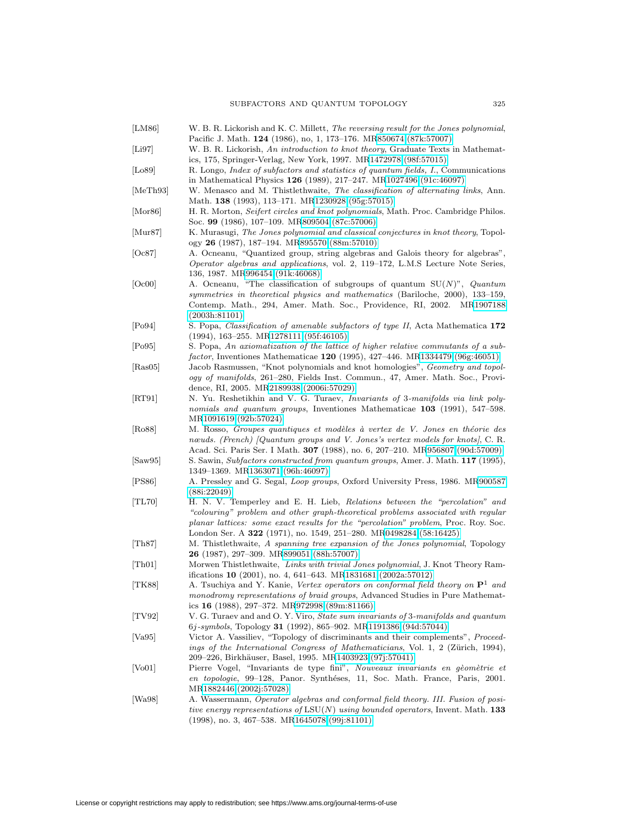- <span id="page-16-2"></span>[LM86] W. B. R. Lickorish and K. C. Millett, The reversing result for the Jones polynomial, Pacific J. Math. **124** (1986), no, 1, 173–176. M[R850674 \(87k:57007\)](http://www.ams.org/mathscinet-getitem?mr=850674)
- <span id="page-16-11"></span>[Li97] W. B. R. Lickorish, An introduction to knot theory, Graduate Texts in Mathematics, 175, Springer-Verlag, New York, 1997. M[R1472978 \(98f:57015\)](http://www.ams.org/mathscinet-getitem?mr=1472978)
- <span id="page-16-9"></span>[Lo89] R. Longo, Index of subfactors and statistics of quantum fields, I., Communications in Mathematical Physics **126** (1989), 217–247. M[R1027496 \(91c:46097\)](http://www.ams.org/mathscinet-getitem?mr=1027496)
- <span id="page-16-5"></span>[MeTh93] W. Menasco and M. Thistlethwaite, The classification of alternating links, Ann. Math. **138** (1993), 113–171. M[R1230928 \(95g:57015\)](http://www.ams.org/mathscinet-getitem?mr=1230928)
- <span id="page-16-1"></span>[Mor86] H. R. Morton, Seifert circles and knot polynomials, Math. Proc. Cambridge Philos. Soc. **99** (1986), 107–109. M[R809504 \(87c:57006\)](http://www.ams.org/mathscinet-getitem?mr=809504)
- <span id="page-16-3"></span>[Mur87] K. Murasugi, The Jones polynomial and classical conjectures in knot theory, Topology **26** (1987), 187–194. M[R895570 \(88m:57010\)](http://www.ams.org/mathscinet-getitem?mr=895570)
- <span id="page-16-13"></span>[Oc87] A. Ocneanu, "Quantized group, string algebras and Galois theory for algebras", Operator algebras and applications, vol. 2, 119–172, L.M.S Lecture Note Series, 136, 1987. M[R996454 \(91k:46068\)](http://www.ams.org/mathscinet-getitem?mr=996454)
- <span id="page-16-20"></span>[Oc00] A. Ocneanu, "The classification of subgroups of quantum  $SU(N)$ ", *Quantum* symmetries in theoretical physics and mathematics (Bariloche, 2000), 133–159, Contemp. Math., 294, Amer. Math. Soc., Providence, RI, 2002. M[R1907188](http://www.ams.org/mathscinet-getitem?mr=1907188) [\(2003h:81101\)](http://www.ams.org/mathscinet-getitem?mr=1907188)
- <span id="page-16-19"></span>[Po94] S. Popa, Classification of amenable subfactors of type II, Acta Mathematica **172** (1994), 163–255. M[R1278111 \(95f:46105\)](http://www.ams.org/mathscinet-getitem?mr=1278111)
- <span id="page-16-21"></span>[Po95] S. Popa, An axiomatization of the lattice of higher relative commutants of a subfactor, Inventiones Mathematicae **120** (1995), 427–446. M[R1334479 \(96g:46051\)](http://www.ams.org/mathscinet-getitem?mr=1334479)
- <span id="page-16-18"></span>[Ras05] Jacob Rasmussen, "Knot polynomials and knot homologies", Geometry and topology of manifolds, 261–280, Fields Inst. Commun., 47, Amer. Math. Soc., Providence, RI, 2005. M[R2189938 \(2006i:57029\)](http://www.ams.org/mathscinet-getitem?mr=2189938)
- <span id="page-16-10"></span>[RT91] N. Yu. Reshetikhin and V. G. Turaev, *Invariants of 3-manifolds via link poly*nomials and quantum groups, Inventiones Mathematicae **103** (1991), 547–598. M[R1091619 \(92b:57024\)](http://www.ams.org/mathscinet-getitem?mr=1091619)
- <span id="page-16-7"></span>[Ro88] M. Rosso, Groupes quantiques et modèles à vertex de V. Jones en théorie des nœuds. (French) [Quantum groups and V. Jones's vertex models for knots], C. R. Acad. Sci. Paris Ser. I Math. **307** (1988), no. 6, 207–210. M[R956807 \(90d:57009\)](http://www.ams.org/mathscinet-getitem?mr=956807)
- <span id="page-16-6"></span>[Saw95] S. Sawin, Subfactors constructed from quantum groups, Amer. J. Math. **117** (1995), 1349–1369. M[R1363071 \(96h:46097\)](http://www.ams.org/mathscinet-getitem?mr=1363071)
- <span id="page-16-14"></span>[PS86] A. Pressley and G. Segal, Loop groups, Oxford University Press, 1986. M[R900587](http://www.ams.org/mathscinet-getitem?mr=900587) [\(88i:22049\)](http://www.ams.org/mathscinet-getitem?mr=900587)
- <span id="page-16-0"></span>[TL70] H. N. V. Temperley and E. H. Lieb, Relations between the "percolation" and "colouring" problem and other graph-theoretical problems associated with regular planar lattices: some exact results for the "percolation" problem, Proc. Roy. Soc. London Ser. A **322** (1971), no. 1549, 251–280. M[R0498284 \(58:16425\)](http://www.ams.org/mathscinet-getitem?mr=0498284)
- <span id="page-16-4"></span>[Th87] M. Thistlethwaite, A spanning tree expansion of the Jones polynomial, Topology **26** (1987), 297–309. M[R899051 \(88h:57007\)](http://www.ams.org/mathscinet-getitem?mr=899051)
- <span id="page-16-22"></span>[Th01] Morwen Thistlethwaite, Links with trivial Jones polynomial, J. Knot Theory Ramifications **10** (2001), no. 4, 641–643. M[R1831681 \(2002a:57012\)](http://www.ams.org/mathscinet-getitem?mr=1831681)
- <span id="page-16-8"></span>[TK88] A. Tsuchiya and Y. Kanie, Vertex operators on conformal field theory on **P**<sup>1</sup> and monodromy representations of braid groups, Advanced Studies in Pure Mathematics **16** (1988), 297–372. M[R972998 \(89m:81166\)](http://www.ams.org/mathscinet-getitem?mr=972998)
- <span id="page-16-12"></span>[TV92] V. G. Turaev and and O. Y. Viro, State sum invariants of 3-manifolds and quantum 6j-symbols, Topology **31** (1992), 865–902. M[R1191386 \(94d:57044\)](http://www.ams.org/mathscinet-getitem?mr=1191386)
- <span id="page-16-16"></span>[Va95] Victor A. Vassiliev, "Topology of discriminants and their complements", Proceedings of the International Congress of Mathematicians, Vol. 1, 2 (Zürich, 1994), 209–226, Birkh¨auser, Basel, 1995. M[R1403923 \(97j:57041\)](http://www.ams.org/mathscinet-getitem?mr=1403923)
- <span id="page-16-17"></span>[Vo01] Pierre Vogel, "Invariants de type fini", Nouveaux invariants en gèomètrie et en topologie, 99-128, Panor. Synthéses, 11, Soc. Math. France, Paris, 2001. M[R1882446 \(2002j:57028\)](http://www.ams.org/mathscinet-getitem?mr=1882446)
- <span id="page-16-15"></span>[Wa98] A. Wassermann, Operator algebras and conformal field theory. III. Fusion of positive energy representations of LSU(N) using bounded operators, Invent. Math. **133** (1998), no. 3, 467–538. M[R1645078 \(99j:81101\)](http://www.ams.org/mathscinet-getitem?mr=1645078)